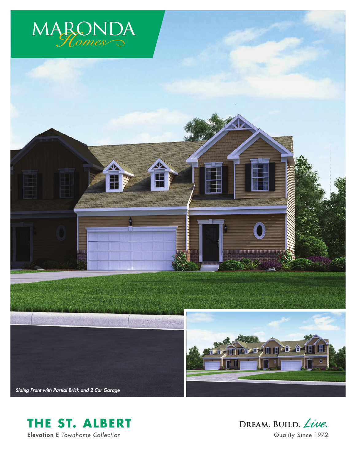